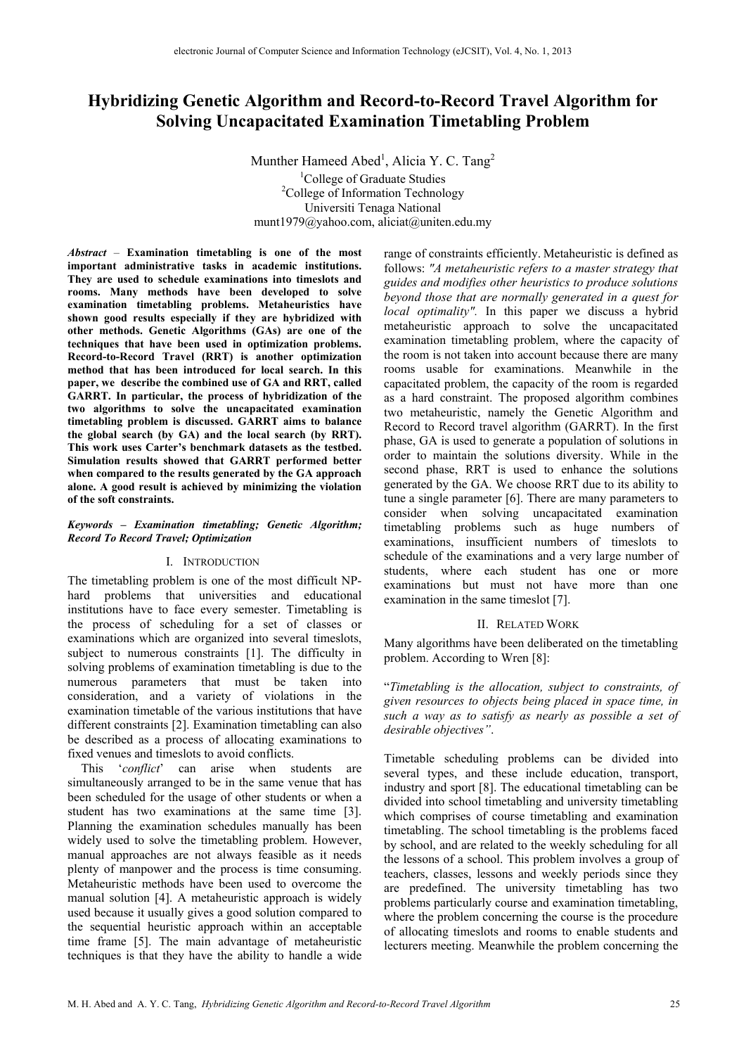# **Hybridizing Genetic Algorithm and Record-to-Record Travel Algorithm for Solving Uncapacitated Examination Timetabling Problem**

Munther Hameed Abed<sup>1</sup>, Alicia Y. C. Tang<sup>2</sup> <sup>1</sup>College of Graduate Studies <sup>2</sup>College of Information Technology Universiti Tenaga National munt1979@yahoo.com, aliciat@uniten.edu.my

*Abstract –* **Examination timetabling is one of the most important administrative tasks in academic institutions. They are used to schedule examinations into timeslots and rooms. Many methods have been developed to solve examination timetabling problems. Metaheuristics have shown good results especially if they are hybridized with other methods. Genetic Algorithms (GAs) are one of the techniques that have been used in optimization problems. Record-to-Record Travel (RRT) is another optimization method that has been introduced for local search. In this paper, we describe the combined use of GA and RRT, called GARRT. In particular, the process of hybridization of the two algorithms to solve the uncapacitated examination timetabling problem is discussed. GARRT aims to balance the global search (by GA) and the local search (by RRT). This work uses Carter's benchmark datasets as the testbed. Simulation results showed that GARRT performed better when compared to the results generated by the GA approach alone. A good result is achieved by minimizing the violation of the soft constraints.**

#### *Keywords – Examination timetabling; Genetic Algorithm; Record To Record Travel; Optimization*

## I. INTRODUCTION

The timetabling problem is one of the most difficult NPhard problems that universities and educational institutions have to face every semester. Timetabling is the process of scheduling for a set of classes or examinations which are organized into several timeslots, subject to numerous constraints [1]. The difficulty in solving problems of examination timetabling is due to the numerous parameters that must be taken into consideration, and a variety of violations in the examination timetable of the various institutions that have different constraints [2]. Examination timetabling can also be described as a process of allocating examinations to fixed venues and timeslots to avoid conflicts.

This '*conflict*' can arise when students are simultaneously arranged to be in the same venue that has been scheduled for the usage of other students or when a student has two examinations at the same time [3]. Planning the examination schedules manually has been widely used to solve the timetabling problem. However, manual approaches are not always feasible as it needs plenty of manpower and the process is time consuming. Metaheuristic methods have been used to overcome the manual solution [4]. A metaheuristic approach is widely used because it usually gives a good solution compared to the sequential heuristic approach within an acceptable time frame [5]. The main advantage of metaheuristic techniques is that they have the ability to handle a wide

range of constraints efficiently. Metaheuristic is defined as follows: *"A metaheuristic refers to a master strategy that guides and modifies other heuristics to produce solutions beyond those that are normally generated in a quest for local optimality".* In this paper we discuss a hybrid metaheuristic approach to solve the uncapacitated examination timetabling problem, where the capacity of the room is not taken into account because there are many rooms usable for examinations. Meanwhile in the capacitated problem, the capacity of the room is regarded as a hard constraint. The proposed algorithm combines two metaheuristic, namely the Genetic Algorithm and Record to Record travel algorithm (GARRT). In the first phase, GA is used to generate a population of solutions in order to maintain the solutions diversity. While in the second phase, RRT is used to enhance the solutions generated by the GA. We choose RRT due to its ability to tune a single parameter [6]. There are many parameters to consider when solving uncapacitated examination timetabling problems such as huge numbers of examinations, insufficient numbers of timeslots to schedule of the examinations and a very large number of students, where each student has one or more examinations but must not have more than one examination in the same timeslot [7].

### II. RELATED WORK

Many algorithms have been deliberated on the timetabling problem. According to Wren [8]:

"*Timetabling is the allocation, subject to constraints, of given resources to objects being placed in space time, in such a way as to satisfy as nearly as possible a set of desirable objectives"*.

Timetable scheduling problems can be divided into several types, and these include education, transport, industry and sport [8]. The educational timetabling can be divided into school timetabling and university timetabling which comprises of course timetabling and examination timetabling. The school timetabling is the problems faced by school, and are related to the weekly scheduling for all the lessons of a school. This problem involves a group of teachers, classes, lessons and weekly periods since they are predefined. The university timetabling has two problems particularly course and examination timetabling, where the problem concerning the course is the procedure of allocating timeslots and rooms to enable students and lecturers meeting. Meanwhile the problem concerning the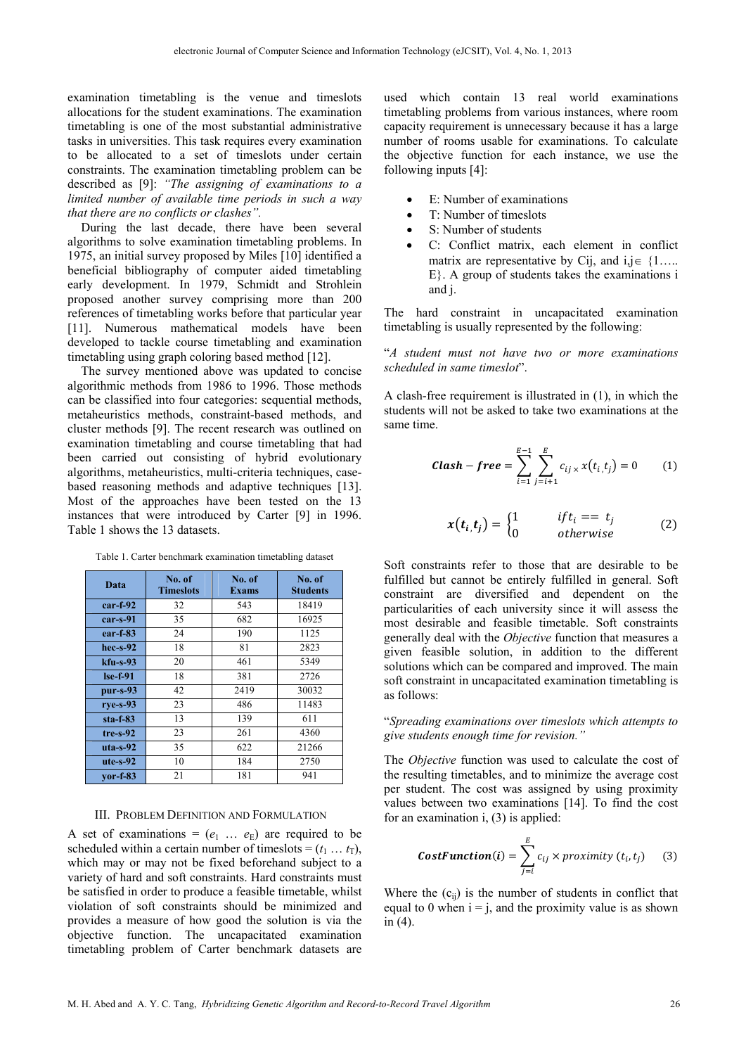examination timetabling is the venue and timeslots allocations for the student examinations. The examination timetabling is one of the most substantial administrative tasks in universities. This task requires every examination to be allocated to a set of timeslots under certain constraints. The examination timetabling problem can be described as [9]: *"The assigning of examinations to a limited number of available time periods in such a way that there are no conflicts or clashes".*

During the last decade, there have been several algorithms to solve examination timetabling problems. In 1975, an initial survey proposed by Miles [10] identified a beneficial bibliography of computer aided timetabling early development. In 1979, Schmidt and Strohlein proposed another survey comprising more than 200 references of timetabling works before that particular year [11]. Numerous mathematical models have been developed to tackle course timetabling and examination timetabling using graph coloring based method [12].

The survey mentioned above was updated to concise algorithmic methods from 1986 to 1996. Those methods can be classified into four categories: sequential methods, metaheuristics methods, constraint-based methods, and cluster methods [9]. The recent research was outlined on examination timetabling and course timetabling that had been carried out consisting of hybrid evolutionary algorithms, metaheuristics, multi-criteria techniques, casebased reasoning methods and adaptive techniques [13]. Most of the approaches have been tested on the 13 instances that were introduced by Carter [9] in 1996. Table 1 shows the 13 datasets.

Table 1. Carter benchmark examination timetabling dataset

| Data       | No. of<br><b>Timeslots</b> | No. of<br><b>Exams</b> | No. of<br><b>Students</b> |
|------------|----------------------------|------------------------|---------------------------|
| $car-f-92$ | 32                         | 543                    | 18419                     |
| $car-s-91$ | 35                         | 682                    | 16925                     |
| $ear-f-83$ | 24                         | 190                    | 1125                      |
| $hec-s-92$ | 18                         | 81                     | 2823                      |
| $kfu-s-93$ | 20                         | 461                    | 5349                      |
| $Ise-f-91$ | 18                         | 381                    | 2726                      |
| $pur-s-93$ | 42                         | 2419                   | 30032                     |
| $rve-s-93$ | 23                         | 486                    | 11483                     |
| $sta-f-83$ | 13                         | 139                    | 611                       |
| $tre-s-92$ | 23                         | 261                    | 4360                      |
| $uta-s-92$ | 35                         | 622                    | 21266                     |
| $ute-s-92$ | 10                         | 184                    | 2750                      |
| $vor-f-83$ | 21                         | 181                    | 941                       |

## III. PROBLEM DEFINITION AND FORMULATION

A set of examinations =  $(e_1 \dots e_E)$  are required to be scheduled within a certain number of timeslots =  $(t_1 ... t_T)$ , which may or may not be fixed beforehand subject to a variety of hard and soft constraints. Hard constraints must be satisfied in order to produce a feasible timetable, whilst violation of soft constraints should be minimized and provides a measure of how good the solution is via the objective function. The uncapacitated examination timetabling problem of Carter benchmark datasets are

used which contain 13 real world examinations timetabling problems from various instances, where room capacity requirement is unnecessary because it has a large number of rooms usable for examinations. To calculate the objective function for each instance, we use the following inputs [4]:

- E: Number of examinations
- T: Number of timeslots
- S: Number of students
- C: Conflict matrix, each element in conflict matrix are representative by Cij, and  $i, j \in \{1, \ldots\}$ E}. A group of students takes the examinations i and j.

The hard constraint in uncapacitated examination timetabling is usually represented by the following:

"*A student must not have two or more examinations scheduled in same timeslot*".

A clash-free requirement is illustrated in (1), in which the students will not be asked to take two examinations at the same time.

$$
Clash - free = \sum_{i=1}^{E-1} \sum_{j=i+1}^{E} c_{ij} \times x(t_i, t_j) = 0 \qquad (1)
$$

$$
x(t_i, t_j) = \begin{cases} 1 & if t_i == t_j \\ 0 & otherwise \end{cases}
$$
 (2)

Soft constraints refer to those that are desirable to be fulfilled but cannot be entirely fulfilled in general. Soft constraint are diversified and dependent on the particularities of each university since it will assess the most desirable and feasible timetable. Soft constraints generally deal with the *Objective* function that measures a given feasible solution, in addition to the different solutions which can be compared and improved. The main soft constraint in uncapacitated examination timetabling is as follows:

"*Spreading examinations over timeslots which attempts to give students enough time for revision."*

The *Objective* function was used to calculate the cost of the resulting timetables, and to minimize the average cost per student. The cost was assigned by using proximity values between two examinations [14]. To find the cost for an examination i, (3) is applied:

**CostFunction(i)** = 
$$
\sum_{j=i}^{E} c_{ij} \times proximity(t_i, t_j)
$$
 (3)

Where the  $(c_{ii})$  is the number of students in conflict that equal to 0 when  $i = j$ , and the proximity value is as shown in (4).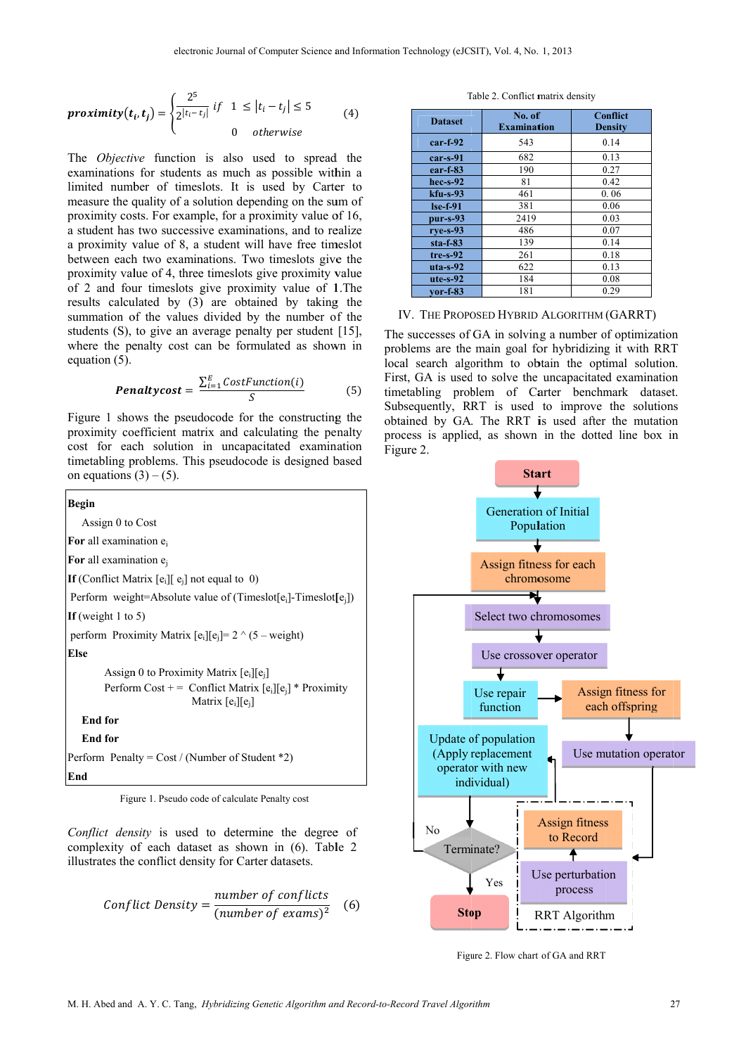$$
proximity(t_i, t_j) = \begin{cases} \frac{2^5}{2^{|t_i - t_j|}} & \text{if } 1 \le |t_i - t_j| \le 5\\ 0 & \text{otherwise} \end{cases} \tag{4}
$$

The *Objective* function is also used to spread the examinations for students as much as possible within a limited number of timeslots. It is used by Carter to measure the quality of a solution depending on the sum of proximity costs. For example, for a proximity value of 16, a student has two successive examinations, and to realize a proximity value of 8, a student will have free timeslot between each two examinations. Two timeslots give the proximity value of 4, three timeslots give proximity value of 2 and four timeslots give proximity value of 1. The results calculated by (3) are obtained by taking the summation of the values divided by the number of the students  $(S)$ , to give an average penalty per student  $[15]$ , where the penalty cost can be formulated as shown in equation (5).

$$
Penaltycost = \frac{\sum_{i=1}^{E} CostFunction(i)}{S}
$$
 (5)

Figure 1 shows the pseudocode for the constructing the proximity coefficient matrix and calculating the penalty cost for each solution in uncapacitated examination timetabling problems. This pseudocode is designed based on equations  $(3) - (5)$ .



Figure 1. Pseudo code of calculate Penalty cost

Conflict density is used to determine the degree of complexity of each dataset as shown in (6). Table 2 illustrates the conflict density for Carter datasets.

$$
Conflict Density = \frac{number\ of\ conflicts}{(number\ of\ exams)^2} \quad (6)
$$

| <b>Dataset</b> | No. of<br><b>Examination</b> | <b>Conflict</b><br>Density |
|----------------|------------------------------|----------------------------|
| $car-f-92$     | 543                          | 0.14                       |
| $car-s-91$     | 682                          | 0.13                       |
| $ear-f-83$     | 190                          | 0.27                       |
| $hec-s-92$     | 81                           | 0.42                       |
| $kfu-s-93$     | 461                          | 0.06                       |
| $Ise-f-91$     | 381                          | 0.06                       |
| $pur - s - 93$ | 2419                         | 0.03                       |
| $rye-s-93$     | 486                          | 0.07                       |
| $sta-f-83$     | 139                          | 0.14                       |
| $tre-s-92$     | 261                          | 0.18                       |
| $uta-s-92$     | 622                          | 0.13                       |
| $ute-s-92$     | 184                          | 0.08                       |
| $vor-f-83$     | 181                          | 0.29                       |

T Table 2. Conflict m matrix density

IV. THE PROPOSED HYBRID ALGORITHM (GARRT)

The successes of GA in solving a number of optimization problems are the main goal for hybridizing it with RRT local search algorithm to obtain the optimal solution First, GA is used to solve the uncapacitated examination First, GA is used to solve the uncapacitated examination timetabling problem of Carter benchmark dataset. Subsequently, RRT is used to improve the solutions obtained by GA. The RRT is used after the mutation process is applied, as shown in the dotted line box in Figure 2. ən<br>:T<br>ո.



Figure 2. Flow chart of GA and RRT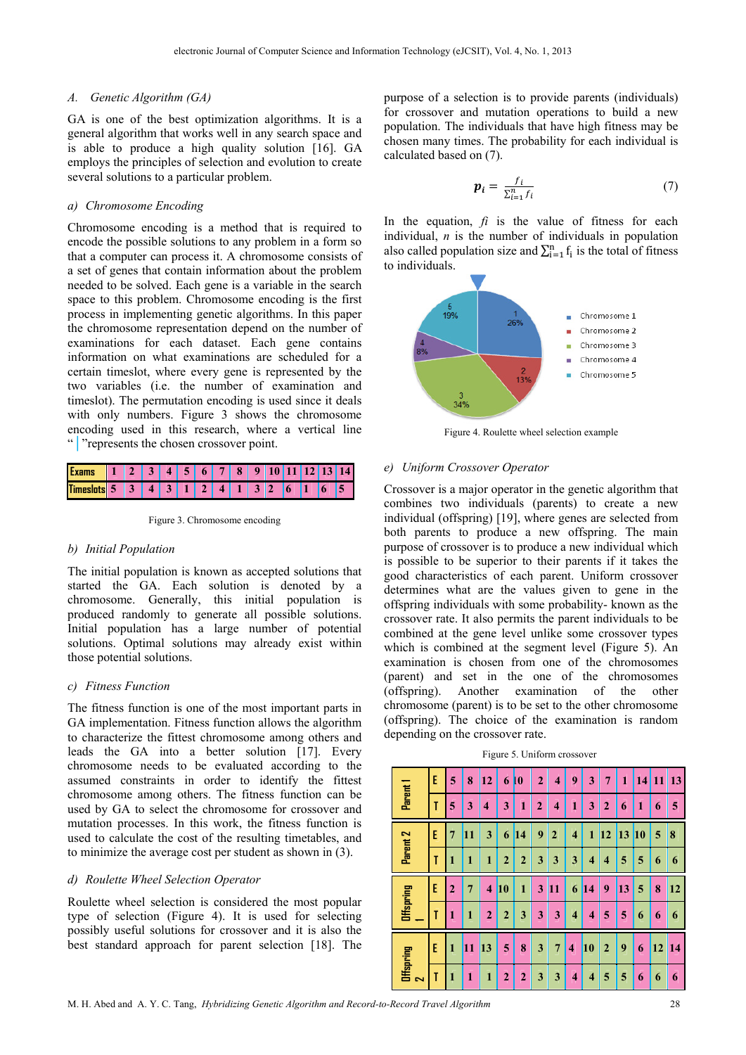## *A. Genetic Algorithm (GA)*

GA is one of the best optimization algorithms. It is a general algorithm that works well in any search space and is able to produce a high quality solution [16]. GA employs the principles of selection and evolution to create several solutions to a particular problem.

### *a) Chromosome Encoding*

Chromosome encoding is a method that is required to encode the possible solutions to any problem in a form so that a computer can process it. A chromosome consists of a set of genes that contain information about the problem needed to be solved. Each gene is a variable in the search space to this problem. Chromosome encoding is the first process in implementing genetic algorithms. In this paper the chromosome representation depend on the number of examinations for each dataset. Each gene contains information on what examinations are scheduled for a certain timeslot, where every gene is represented by the two variables (i.e. the number of examination and timeslot). The permutation encoding is used since it deals with only numbers. Figure 3 shows the chromosome encoding used in this research, where a vertical line "**│**"represents the chosen crossover point.



Figure 3. Chromosome encoding

#### *b) Initial Population*

The initial population is known as accepted solutions that started the GA. Each solution is denoted by a chromosome. Generally, this initial population is produced randomly to generate all possible solutions. Initial population has a large number of potential solutions. Optimal solutions may already exist within those potential solutions.

## *c) Fitness Function*

The fitness function is one of the most important parts in GA implementation. Fitness function allows the algorithm to characterize the fittest chromosome among others and leads the GA into a better solution [17]. Every chromosome needs to be evaluated according to the assumed constraints in order to identify the fittest chromosome among others. The fitness function can be used by GA to select the chromosome for crossover and mutation processes. In this work, the fitness function is used to calculate the cost of the resulting timetables, and to minimize the average cost per student as shown in (3).

## *d) Roulette Wheel Selection Operator*

Roulette wheel selection is considered the most popular type of selection (Figure 4). It is used for selecting possibly useful solutions for crossover and it is also the best standard approach for parent selection [18]. The

purpose of a selection is to provide parents (individuals) for crossover and mutation operations to build a new population. The individuals that have high fitness may be chosen many times. The probability for each individual is calculated based on (7).

$$
\boldsymbol{p}_i = \frac{f_i}{\sum_{i=1}^n f_i} \tag{7}
$$

In the equation,  $f_i$  is the value of fitness for each individual, *n* is the number of individuals in population also called population size and  $\sum_{i=1}^{n} f_i$  is the total of fitness to individuals.



Figure 4. Roulette wheel selection example

#### *e) Uniform Crossover Operator*

Crossover is a major operator in the genetic algorithm that combines two individuals (parents) to create a new individual (offspring) [19], where genes are selected from both parents to produce a new offspring. The main purpose of crossover is to produce a new individual which is possible to be superior to their parents if it takes the good characteristics of each parent. Uniform crossover determines what are the values given to gene in the offspring individuals with some probability- known as the crossover rate. It also permits the parent individuals to be combined at the gene level unlike some crossover types which is combined at the segment level (Figure 5). An examination is chosen from one of the chromosomes (parent) and set in the one of the chromosomes (offspring). Another examination of the other chromosome (parent) is to be set to the other chromosome (offspring). The choice of the examination is random depending on the crossover rate.

|   | Figure 5. Uniform crossover |  |  |  |                                       |  |  |  |  |  |  |  |                                                       |           |
|---|-----------------------------|--|--|--|---------------------------------------|--|--|--|--|--|--|--|-------------------------------------------------------|-----------|
| Ė |                             |  |  |  |                                       |  |  |  |  |  |  |  | 8   12   6   0   2   4   9   3   7   1   14   11   13 |           |
|   |                             |  |  |  | 3   1   2   4   1   3   2   6   1   6 |  |  |  |  |  |  |  |                                                       | $\vert$ 5 |

|                         | E | 5              | 8         | <b>12</b>      | 6              | 10             | 2              | 4                       | 9                   | 3                       | 7                   | 1         | 141 | 11        | <u>  13</u>    |
|-------------------------|---|----------------|-----------|----------------|----------------|----------------|----------------|-------------------------|---------------------|-------------------------|---------------------|-----------|-----|-----------|----------------|
| Parent 1                |   | 5              | 3         | 4              | 3              | 1              | $\overline{2}$ | $\overline{\mathbf{4}}$ | 1                   | 3                       | $\overline{2}$      | 6         | 1   | 6         | 5              |
|                         | E | 7              | <b>11</b> | 3              | 6              | 14             | 9              | $\overline{2}$          | 4                   | 1                       | 12                  | <b>13</b> | 10  | 5         | $\vert 8$      |
| Parent 2                |   | 1              | 1         | $\mathbf{1}$   | $\overline{2}$ | $\overline{2}$ | 3              | 3                       | 3                   | $\overline{\bf{4}}$     | $\overline{\bf{4}}$ | 5         | 5   | 6         | 6              |
|                         | E | $\overline{2}$ | 7         | 4              | <b>10</b>      | 1              | 3              | <b>11</b>               | 6                   | 14                      | 9                   | 13        | 5   | 8         | <b>12</b>      |
| <b>Offspring</b>        |   | 1              | 1         | $\overline{2}$ | $\overline{2}$ | 3              | 3              | 3                       | $\overline{\bf{4}}$ | $\overline{\bf{4}}$     | 5                   | 5         | 6   | 6         | 6              |
| <b>Offspring</b>        | E | 1              | 11        | <b>13</b>      | 5              | 8              | 3              | 7                       | $\overline{\bf{4}}$ | 10                      | $\overline{2}$      | 9         | 6   | <b>12</b> | $\blacksquare$ |
| $\overline{\mathbf{N}}$ | T | 1              | 1         | $\mathbf{1}$   | $\overline{2}$ | $\overline{2}$ | 3              | 3                       | $\overline{\bf{4}}$ | $\overline{\mathbf{4}}$ | 5                   | 5         | 6   | 6         | 6              |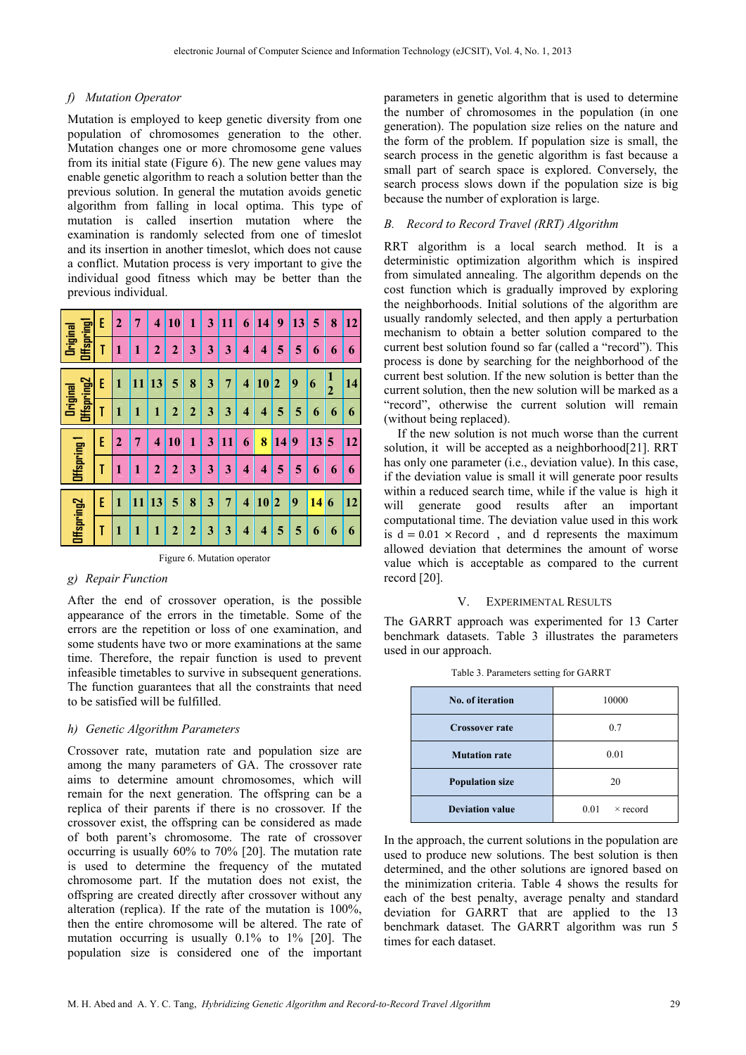# *f) Mutation Operator*

Mutation is employed to keep genetic diversity from one population of chromosomes generation to the other. Mutation changes one or more chromosome gene values from its initial state (Figure 6). The new gene values may enable genetic algorithm to reach a solution better than the previous solution. In general the mutation avoids genetic algorithm from falling in local optima. This type of mutation is called insertion mutation where the examination is randomly selected from one of timeslot and its insertion in another timeslot, which does not cause a conflict. Mutation process is very important to give the individual good fitness which may be better than the previous individual.

|                               | E | $\overline{2}$ | 7  | 4              | 10             | 1              | 3 | 11 | 6                       | 14 | 9                       | 13 | 5  | 8                   | 12 |
|-------------------------------|---|----------------|----|----------------|----------------|----------------|---|----|-------------------------|----|-------------------------|----|----|---------------------|----|
| Offspringl<br>Original        | T | 1              | 1  | $\overline{2}$ | $\overline{2}$ | 3              | 3 | 3  | 4                       | 4  | 5                       | 5  | 6  | 6                   | 6  |
|                               | E | 1              | 11 | 13             | 5              | 8              | 3 | 7  | 4                       | 10 | $\overline{\mathbf{2}}$ | 9  | 6  | 1<br>$\overline{2}$ | 14 |
| Offspring2<br><b>Original</b> | T | 1              | 1  | 1              | $\mathbf{c}$   | $\overline{2}$ | 3 | 3  | $\overline{\mathbf{4}}$ | 4  | 5                       | 5  | 6  | 6                   | 6  |
|                               | E | $\overline{2}$ | 7  | 4              | 10             | $\mathbf{1}$   | 3 | 11 | 6                       | 8  | 14 <sup>l</sup>         | 9  | 13 | 5                   | 12 |
| Offspring 1                   | T | 1              | 1  | $\overline{2}$ | $\mathbf 2$    | 3              | 3 | 3  | 4                       | 4  | 5                       | 5  | 6  | 6                   | 6  |
| Offspring2                    | E | 1              | 11 | 13             | 5              | 8              | 3 | 7  | $\overline{\mathbf{4}}$ | 10 | $\overline{\mathbf{2}}$ | 9  | 14 | 6                   | 12 |
|                               | T | $\mathbf{1}$   | 1  | 1              | $\overline{2}$ | $\overline{2}$ | 3 | 3  | $\overline{\mathbf{4}}$ | 4  | 5                       | 5  | 6  | 6                   | 6  |

Figure 6. Mutation operator

# *g) Repair Function*

After the end of crossover operation, is the possible appearance of the errors in the timetable. Some of the errors are the repetition or loss of one examination, and some students have two or more examinations at the same time. Therefore, the repair function is used to prevent infeasible timetables to survive in subsequent generations. The function guarantees that all the constraints that need to be satisfied will be fulfilled.

# *h) Genetic Algorithm Parameters*

Crossover rate, mutation rate and population size are among the many parameters of GA. The crossover rate aims to determine amount chromosomes, which will remain for the next generation. The offspring can be a replica of their parents if there is no crossover. If the crossover exist, the offspring can be considered as made of both parent's chromosome. The rate of crossover occurring is usually 60% to 70% [20]. The mutation rate is used to determine the frequency of the mutated chromosome part. If the mutation does not exist, the offspring are created directly after crossover without any alteration (replica). If the rate of the mutation is 100%, then the entire chromosome will be altered. The rate of mutation occurring is usually 0.1% to 1% [20]. The population size is considered one of the important

parameters in genetic algorithm that is used to determine the number of chromosomes in the population (in one generation). The population size relies on the nature and the form of the problem. If population size is small, the search process in the genetic algorithm is fast because a small part of search space is explored. Conversely, the search process slows down if the population size is big because the number of exploration is large.

## *B. Record to Record Travel (RRT) Algorithm*

RRT algorithm is a local search method. It is a deterministic optimization algorithm which is inspired from simulated annealing. The algorithm depends on the cost function which is gradually improved by exploring the neighborhoods. Initial solutions of the algorithm are usually randomly selected, and then apply a perturbation mechanism to obtain a better solution compared to the current best solution found so far (called a "record"). This process is done by searching for the neighborhood of the current best solution. If the new solution is better than the current solution, then the new solution will be marked as a "record", otherwise the current solution will remain (without being replaced).

If the new solution is not much worse than the current solution, it will be accepted as a neighborhood[21]. RRT has only one parameter (i.e., deviation value). In this case, if the deviation value is small it will generate poor results within a reduced search time, while if the value is high it will generate good results after an important computational time. The deviation value used in this work is  $d = 0.01 \times$  Record, and d represents the maximum allowed deviation that determines the amount of worse value which is acceptable as compared to the current record [20].

# V. EXPERIMENTAL RESULTS

The GARRT approach was experimented for 13 Carter benchmark datasets. Table 3 illustrates the parameters used in our approach.

| <b>No. of iteration</b> | 10000                   |
|-------------------------|-------------------------|
| <b>Crossover rate</b>   | 0.7                     |
| <b>Mutation rate</b>    | 0.01                    |
| <b>Population size</b>  | 20                      |
| <b>Deviation value</b>  | 0.01<br>$\times$ record |

Table 3. Parameters setting for GARRT

In the approach, the current solutions in the population are used to produce new solutions. The best solution is then determined, and the other solutions are ignored based on the minimization criteria. Table 4 shows the results for each of the best penalty, average penalty and standard deviation for GARRT that are applied to the 13 benchmark dataset. The GARRT algorithm was run 5 times for each dataset.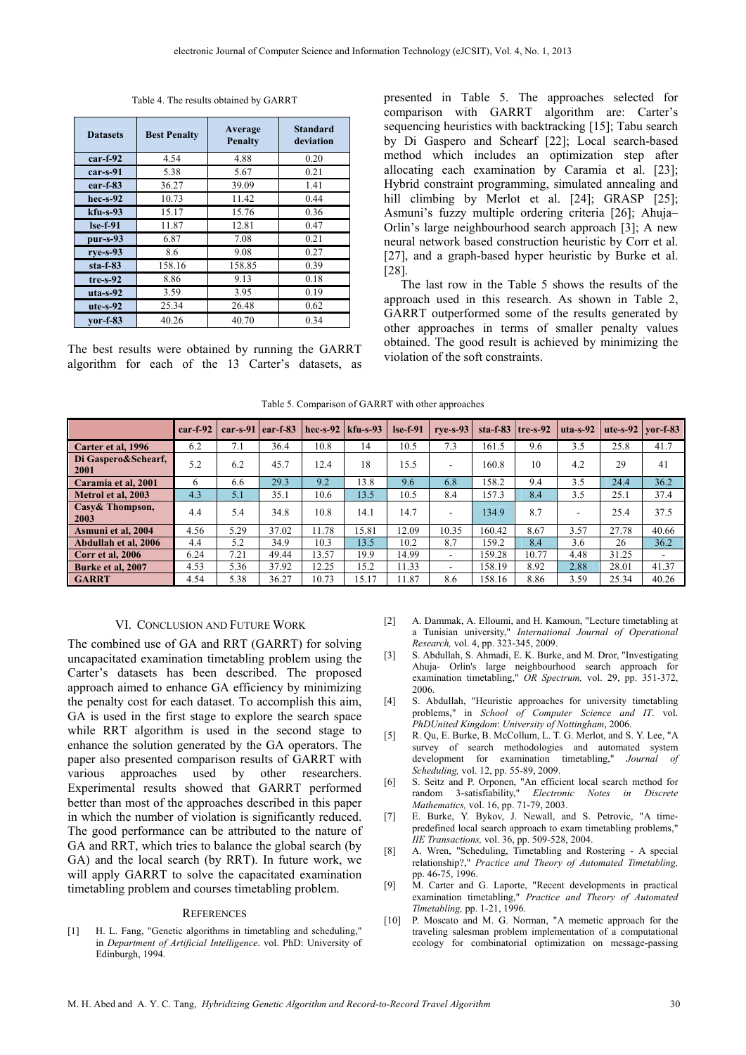|  | Table 4. The results obtained by GARRT |  |  |
|--|----------------------------------------|--|--|
|--|----------------------------------------|--|--|

| <b>Datasets</b> | <b>Best Penalty</b> | Average<br><b>Penalty</b> | <b>Standard</b><br>deviation |
|-----------------|---------------------|---------------------------|------------------------------|
| $car-f-92$      | 4.54                | 4.88                      | 0.20                         |
| $car-s-91$      | 5.38                | 5.67                      | 0.21                         |
| $ear-f-83$      | 36.27               | 39.09                     | 1.41                         |
| $hec-s-92$      | 10.73               | 11.42                     | 0.44                         |
| $kfu-s-93$      | 15.17               | 15.76                     | 0.36                         |
| $Ise-f-91$      | 11.87               | 12.81                     | 0.47                         |
| $pur-s-93$      | 6.87                | 7.08                      | 0.21                         |
| $rye-s-93$      | 8.6                 | 9.08                      | 0.27                         |
| $sta-f-83$      | 158.16              | 158.85                    | 0.39                         |
| $tre-s-92$      | 8.86                | 9.13                      | 0.18                         |
| $uta - s - 92$  | 3.59                | 3.95                      | 0.19                         |
| $ute-s-92$      | 25.34               | 26.48                     | 0.62                         |
| $vor-f-83$      | 40.26               | 40.70                     | 0.34                         |

The best results were obtained by running the GARRT algorithm for each of the 13 Carter's datasets, as

presented in Table 5. The approaches selected for comparison with GARRT algorithm are: Carter's sequencing heuristics with backtracking [15]; Tabu search by Di Gaspero and Schearf [22]; Local search-based method which includes an optimization step after allocating each examination by Caramia et al. [23]; Hybrid constraint programming, simulated annealing and hill climbing by Merlot et al. [24]; GRASP [25]; Asmuni's fuzzy multiple ordering criteria [26]; Ahuja– Orlin's large neighbourhood search approach [3]; A new neural network based construction heuristic by Corr et al. [27], and a graph-based hyper heuristic by Burke et al. [28].

The last row in the Table 5 shows the results of the approach used in this research. As shown in Table 2, GARRT outperformed some of the results generated by other approaches in terms of smaller penalty values obtained. The good result is achieved by minimizing the violation of the soft constraints.

|  |  | Table 5. Comparison of GARRT with other approaches |  |  |  |
|--|--|----------------------------------------------------|--|--|--|
|--|--|----------------------------------------------------|--|--|--|

|                             | $car-f-92$ | $car-S-91$ | $\left  \right $ ear-f-83 | hec-s-92 $\vert$ kfu-s-93 |       | $Ise-f-91$ | $rve-s-93$               |        | sta-f-83   tre-s-92 | $uta - s - 92$ | ute-s-92 $\vert$ vor-f-83 |       |
|-----------------------------|------------|------------|---------------------------|---------------------------|-------|------------|--------------------------|--------|---------------------|----------------|---------------------------|-------|
| Carter et al, 1996          | 6.2        | 7.1        | 36.4                      | 10.8                      | 14    | 10.5       | 7.3                      | 161.5  | 9.6                 | 3.5            | 25.8                      | 41.7  |
| Di Gaspero&Schearf,<br>2001 | 5.2        | 6.2        | 45.7                      | 12.4                      | 18    | 15.5       | $\overline{\phantom{a}}$ | 160.8  | 10                  | 4.2            | 29                        | 41    |
| Caramia et al, 2001         | 6          | 6.6        | 29.3                      | 9.2                       | 13.8  | 9.6        | 6.8                      | 158.2  | 9.4                 | 3.5            | 24.4                      | 36.2  |
| Metrol et al. 2003          | 4.3        | 5.1        | 35.1                      | 10.6                      | 13.5  | 10.5       | 8.4                      | 157.3  | 8.4                 | 3.5            | 25.1                      | 37.4  |
| Casy & Thompson,<br>2003    | 4.4        | 5.4        | 34.8                      | 10.8                      | 14.1  | 14.7       | $\overline{\phantom{a}}$ | 134.9  | 8.7                 | ۰              | 25.4                      | 37.5  |
| Asmuni et al, 2004          | 4.56       | 5.29       | 37.02                     | 11.78                     | 15.81 | 12.09      | 10.35                    | 160.42 | 8.67                | 3.57           | 27.78                     | 40.66 |
| Abdullah et al, 2006        | 4.4        | 5.2        | 34.9                      | 10.3                      | 13.5  | 10.2       | 8.7                      | 159.2  | 8.4                 | 3.6            | 26                        | 36.2  |
| Corr et al. 2006            | 6.24       | 7.21       | 49.44                     | 13.57                     | 19.9  | 14.99      | $\sim$                   | 159.28 | 10.77               | 4.48           | 31.25                     | ۰     |
| Burke et al. 2007           | 4.53       | 5.36       | 37.92                     | 12.25                     | 15.2  | 11.33      | $\overline{\phantom{a}}$ | 158.19 | 8.92                | 2.88           | 28.01                     | 41.37 |
| <b>GARRT</b>                | 4.54       | 5.38       | 36.27                     | 10.73                     | 15.17 | 11.87      | 8.6                      | 158.16 | 8.86                | 3.59           | 25.34                     | 40.26 |

### VI. CONCLUSION AND FUTURE WORK

The combined use of GA and RRT (GARRT) for solving uncapacitated examination timetabling problem using the Carter's datasets has been described. The proposed approach aimed to enhance GA efficiency by minimizing the penalty cost for each dataset. To accomplish this aim, GA is used in the first stage to explore the search space while RRT algorithm is used in the second stage to enhance the solution generated by the GA operators. The paper also presented comparison results of GARRT with various approaches used by other researchers. Experimental results showed that GARRT performed better than most of the approaches described in this paper in which the number of violation is significantly reduced. The good performance can be attributed to the nature of GA and RRT, which tries to balance the global search (by GA) and the local search (by RRT). In future work, we will apply GARRT to solve the capacitated examination timetabling problem and courses timetabling problem.

#### **REFERENCES**

[1] H. L. Fang, "Genetic algorithms in timetabling and scheduling," in *Department of Artificial Intelligence*. vol. PhD: University of Edinburgh, 1994.

- [2] A. Dammak, A. Elloumi, and H. Kamoun, "Lecture timetabling at a Tunisian university," *International Journal of Operational Research,* vol. 4, pp. 323-345, 2009.
- [3] S. Abdullah, S. Ahmadi, E. K. Burke, and M. Dror, "Investigating Ahuja- Orlin's large neighbourhood search approach for examination timetabling," *OR Spectrum,* vol. 29, pp. 351-372, 2006.
- [4] S. Abdullah, "Heuristic approaches for university timetabling problems," in *School of Computer Science and IT*. vol. *PhDUnited Kingdom*: *University of Nottingham*, 2006.
- [5] R. Qu, E. Burke, B. McCollum, L. T. G. Merlot, and S. Y. Lee, "A survey of search methodologies and automated system development for examination timetabling," *Journal of Scheduling,* vol. 12, pp. 55-89, 2009.
- [6] S. Seitz and P. Orponen, "An efficient local search method for random 3-satisfiability," *Electronic Notes in Discrete Mathematics,* vol. 16, pp. 71-79, 2003.
- [7] E. Burke, Y. Bykov, J. Newall, and S. Petrovic, "A timepredefined local search approach to exam timetabling problems," *IIE Transactions,* vol. 36, pp. 509-528, 2004.
- [8] A. Wren, "Scheduling, Timetabling and Rostering A special relationship?," *Practice and Theory of Automated Timetabling,*  pp. 46-75, 1996.
- [9] M. Carter and G. Laporte, "Recent developments in practical examination timetabling," *Practice and Theory of Automated Timetabling,* pp. 1-21, 1996.
- [10] P. Moscato and M. G. Norman, "A memetic approach for the traveling salesman problem implementation of a computational ecology for combinatorial optimization on message-passing